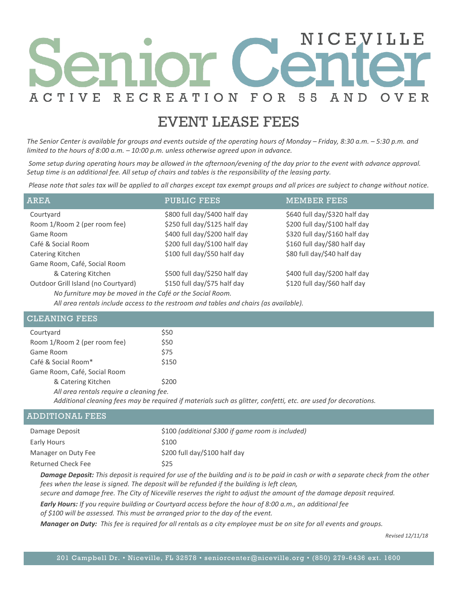## NICEVILL FOR ACTIVE **RECREATION** 55 OVER A N D

## EVENT LEASE FEES

*The Senior Center is available for groups and events outside of the operating hours of Monday – Friday, 8:30 a.m. – 5:30 p.m. and limited to the hours of 8:00 a.m. – 10:00 p.m. unless otherwise agreed upon in advance.*

*Some setup during operating hours may be allowed in the afternoon/evening of the day prior to the event with advance approval. Setup time is an additional fee. All setup of chairs and tables is the responsibility of the leasing party.*

*Please note that sales tax will be applied to all charges except tax exempt groups and all prices are subject to change without notice.*

| AREA                                                                                  | PUBLIC FEES                   | <b>MEMBER FEES</b>            |  |
|---------------------------------------------------------------------------------------|-------------------------------|-------------------------------|--|
| Courtyard                                                                             | \$800 full day/\$400 half day | \$640 full day/\$320 half day |  |
| Room 1/Room 2 (per room fee)                                                          | \$250 full day/\$125 half day | \$200 full day/\$100 half day |  |
| Game Room                                                                             | \$400 full day/\$200 half day | \$320 full day/\$160 half day |  |
| Café & Social Room                                                                    | \$200 full day/\$100 half day | \$160 full day/\$80 half day  |  |
| Catering Kitchen                                                                      | \$100 full day/\$50 half day  | \$80 full day/\$40 half day   |  |
| Game Room, Café, Social Room                                                          |                               |                               |  |
| & Catering Kitchen                                                                    | \$500 full day/\$250 half day | \$400 full day/\$200 half day |  |
| Outdoor Grill Island (no Courtyard)                                                   | \$150 full day/\$75 half day  | \$120 full day/\$60 half day  |  |
| No furniture may be moved in the Café or the Social Room.                             |                               |                               |  |
| All area rentals include access to the restroom and tables and chairs (as available). |                               |                               |  |

| <b>CLEANING FEES</b>                                                                                            |                                                   |  |
|-----------------------------------------------------------------------------------------------------------------|---------------------------------------------------|--|
| Courtyard                                                                                                       | \$50                                              |  |
| Room 1/Room 2 (per room fee)                                                                                    | \$50                                              |  |
| Game Room                                                                                                       | \$75                                              |  |
| Café & Social Room*                                                                                             | \$150                                             |  |
| Game Room, Café, Social Room                                                                                    |                                                   |  |
| & Catering Kitchen                                                                                              | \$200                                             |  |
| All area rentals require a cleaning fee.                                                                        |                                                   |  |
| Additional cleaning fees may be required if materials such as glitter, confetti, etc. are used for decorations. |                                                   |  |
| <b>ADDITIONAL FEES</b>                                                                                          |                                                   |  |
| Damara Danosit                                                                                                  | \$100 (additional \$200 if game room is included) |  |

| Bancano Bonoch, This denoth is no mind for more fully halling and is used in such committee occupants the officers upon the culture |                                                   |  |
|-------------------------------------------------------------------------------------------------------------------------------------|---------------------------------------------------|--|
| <b>Returned Check Fee</b>                                                                                                           | S25                                               |  |
| Manager on Duty Fee                                                                                                                 | \$200 full day/\$100 half day                     |  |
| Early Hours                                                                                                                         | \$100                                             |  |
| Damage Deposit                                                                                                                      | \$100 (additional \$300 if game room is included) |  |

*Damage Deposit: This deposit is required for use of the building and is to be paid in cash or with a separate check from the other fees when the lease is signed. The deposit will be refunded if the building is left clean,* 

*secure and damage free. The City of Niceville reserves the right to adjust the amount of the damage deposit required.*

*Early Hours: If you require building or Courtyard access before the hour of 8:00 a.m., an additional fee* 

*of \$100 will be assessed. This must be arranged prior to the day of the event.*

*Manager on Duty: This fee is required for all rentals as a city employee must be on site for all events and groups.*

*Revised 12/11/18*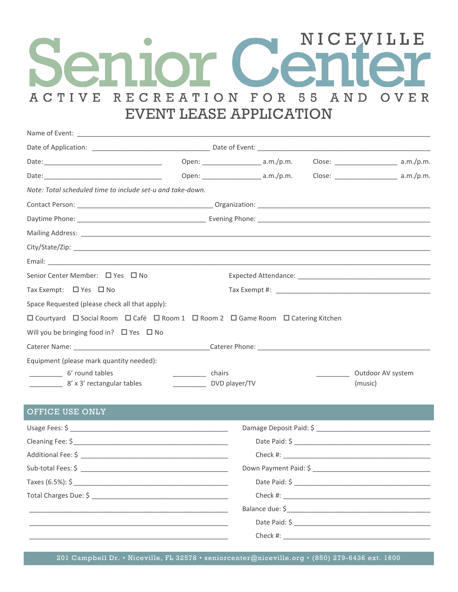# NICEVILLE RECREATION FOR 55 **ACTIVE** AND OVER **EVENT LEASE APPLICATION**

| Note: Total scheduled time to include set-u and take-down.                                                           |                                             |  |  |                   |
|----------------------------------------------------------------------------------------------------------------------|---------------------------------------------|--|--|-------------------|
|                                                                                                                      |                                             |  |  |                   |
|                                                                                                                      |                                             |  |  |                   |
|                                                                                                                      |                                             |  |  |                   |
|                                                                                                                      |                                             |  |  |                   |
|                                                                                                                      |                                             |  |  |                   |
| Senior Center Member: $\Box$ Yes $\Box$ No                                                                           |                                             |  |  |                   |
| Tax Exempt: $\Box$ Yes $\Box$ No                                                                                     |                                             |  |  |                   |
| Space Requested (please check all that apply):                                                                       |                                             |  |  |                   |
| $\Box$ Courtyard $\Box$ Social Room $\Box$ Café $\Box$ Room 1 $\Box$ Room 2 $\Box$ Game Room $\Box$ Catering Kitchen |                                             |  |  |                   |
| Will you be bringing food in? $\Box$ Yes $\Box$ No                                                                   |                                             |  |  |                   |
|                                                                                                                      |                                             |  |  |                   |
| Equipment (please mark quantity needed):                                                                             |                                             |  |  |                   |
| 6' round tables                                                                                                      | chairs                                      |  |  | Outdoor AV system |
|                                                                                                                      | 8' x 3' rectangular tables<br>DVD player/TV |  |  | (music)           |
|                                                                                                                      |                                             |  |  |                   |

## OFFICE USE ONLY

| Down Payment Paid: \$         |
|-------------------------------|
|                               |
|                               |
|                               |
|                               |
| Check #: ____________________ |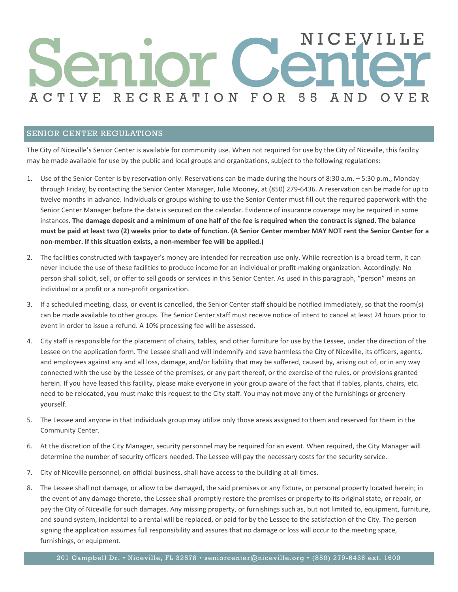## NICEVILLE RECREATION FOR 55 **ACTIVE** A N D OVER

### SENIOR CENTER REGULATIONS

The City of Niceville's Senior Center is available for community use. When not required for use by the City of Niceville, this facility may be made available for use by the public and local groups and organizations, subject to the following regulations:

- 1. Use of the Senior Center is by reservation only. Reservations can be made during the hours of 8:30 a.m. 5:30 p.m., Monday through Friday, by contacting the Senior Center Manager, Julie Mooney, at (850) 279-6436. A reservation can be made for up to twelve months in advance. Individuals or groups wishing to use the Senior Center must fill out the required paperwork with the Senior Center Manager before the date is secured on the calendar. Evidence of insurance coverage may be required in some instances. **The damage deposit and a minimum of one half of the fee is required when the contract is signed. The balance must be paid at least two (2) weeks prior to date of function. (A Senior Center member MAY NOT rent the Senior Center for a non-member. If this situation exists, a non-member fee will be applied.)**
- 2. The facilities constructed with taxpayer's money are intended for recreation use only. While recreation is a broad term, it can never include the use of these facilities to produce income for an individual or profit-making organization. Accordingly: No person shall solicit, sell, or offer to sell goods or services in this Senior Center. As used in this paragraph, "person" means an individual or a profit or a non-profit organization.
- 3. If a scheduled meeting, class, or event is cancelled, the Senior Center staff should be notified immediately, so that the room(s) can be made available to other groups. The Senior Center staff must receive notice of intent to cancel at least 24 hours prior to event in order to issue a refund. A 10% processing fee will be assessed.
- 4. City staff is responsible for the placement of chairs, tables, and other furniture for use by the Lessee, under the direction of the Lessee on the application form. The Lessee shall and will indemnify and save harmless the City of Niceville, its officers, agents, and employees against any and all loss, damage, and/or liability that may be suffered, caused by, arising out of, or in any way connected with the use by the Lessee of the premises, or any part thereof, or the exercise of the rules, or provisions granted herein. If you have leased this facility, please make everyone in your group aware of the fact that if tables, plants, chairs, etc. need to be relocated, you must make this request to the City staff. You may not move any of the furnishings or greenery yourself.
- 5. The Lessee and anyone in that individuals group may utilize only those areas assigned to them and reserved for them in the Community Center.
- 6. At the discretion of the City Manager, security personnel may be required for an event. When required, the City Manager will determine the number of security officers needed. The Lessee will pay the necessary costs for the security service.
- 7. City of Niceville personnel, on official business, shall have access to the building at all times.
- 8. The Lessee shall not damage, or allow to be damaged, the said premises or any fixture, or personal property located herein; in the event of any damage thereto, the Lessee shall promptly restore the premises or property to its original state, or repair, or pay the City of Niceville for such damages. Any missing property, or furnishings such as, but not limited to, equipment, furniture, and sound system, incidental to a rental will be replaced, or paid for by the Lessee to the satisfaction of the City. The person signing the application assumes full responsibility and assures that no damage or loss will occur to the meeting space, furnishings, or equipment.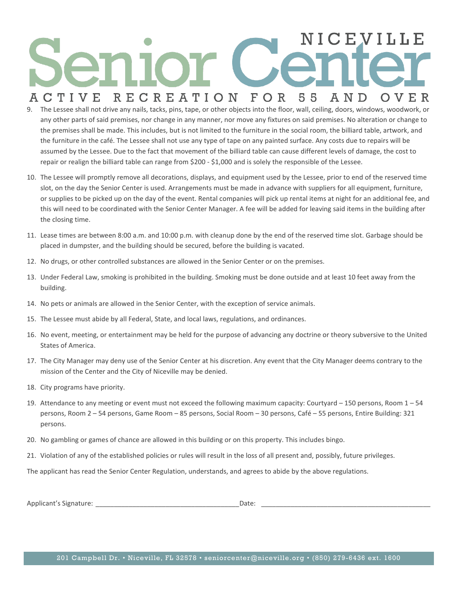## EVILLE FOR OVER **ACTIVE RECREATION** A N D 55

- 9. The Lessee shall not drive any nails, tacks, pins, tape, or other objects into the floor, wall, ceiling, doors, windows, woodwork, or any other parts of said premises, nor change in any manner, nor move any fixtures on said premises. No alteration or change to the premises shall be made. This includes, but is not limited to the furniture in the social room, the billiard table, artwork, and the furniture in the café. The Lessee shall not use any type of tape on any painted surface. Any costs due to repairs will be assumed by the Lessee. Due to the fact that movement of the billiard table can cause different levels of damage, the cost to repair or realign the billiard table can range from \$200 - \$1,000 and is solely the responsible of the Lessee.
- 10. The Lessee will promptly remove all decorations, displays, and equipment used by the Lessee, prior to end of the reserved time slot, on the day the Senior Center is used. Arrangements must be made in advance with suppliers for all equipment, furniture, or supplies to be picked up on the day of the event. Rental companies will pick up rental items at night for an additional fee, and this will need to be coordinated with the Senior Center Manager. A fee will be added for leaving said items in the building after the closing time.
- 11. Lease times are between 8:00 a.m. and 10:00 p.m. with cleanup done by the end of the reserved time slot. Garbage should be placed in dumpster, and the building should be secured, before the building is vacated.
- 12. No drugs, or other controlled substances are allowed in the Senior Center or on the premises.
- 13. Under Federal Law, smoking is prohibited in the building. Smoking must be done outside and at least 10 feet away from the building.
- 14. No pets or animals are allowed in the Senior Center, with the exception of service animals.
- 15. The Lessee must abide by all Federal, State, and local laws, regulations, and ordinances.
- 16. No event, meeting, or entertainment may be held for the purpose of advancing any doctrine or theory subversive to the United States of America.
- 17. The City Manager may deny use of the Senior Center at his discretion. Any event that the City Manager deems contrary to the mission of the Center and the City of Niceville may be denied.
- 18. City programs have priority.
- 19. Attendance to any meeting or event must not exceed the following maximum capacity: Courtyard 150 persons, Room 1 54 persons, Room 2 – 54 persons, Game Room – 85 persons, Social Room – 30 persons, Café – 55 persons, Entire Building: 321 persons.
- 20. No gambling or games of chance are allowed in this building or on this property. This includes bingo.
- 21. Violation of any of the established policies or rules will result in the loss of all present and, possibly, future privileges.

The applicant has read the Senior Center Regulation, understands, and agrees to abide by the above regulations.

| Dale |
|------|
|      |